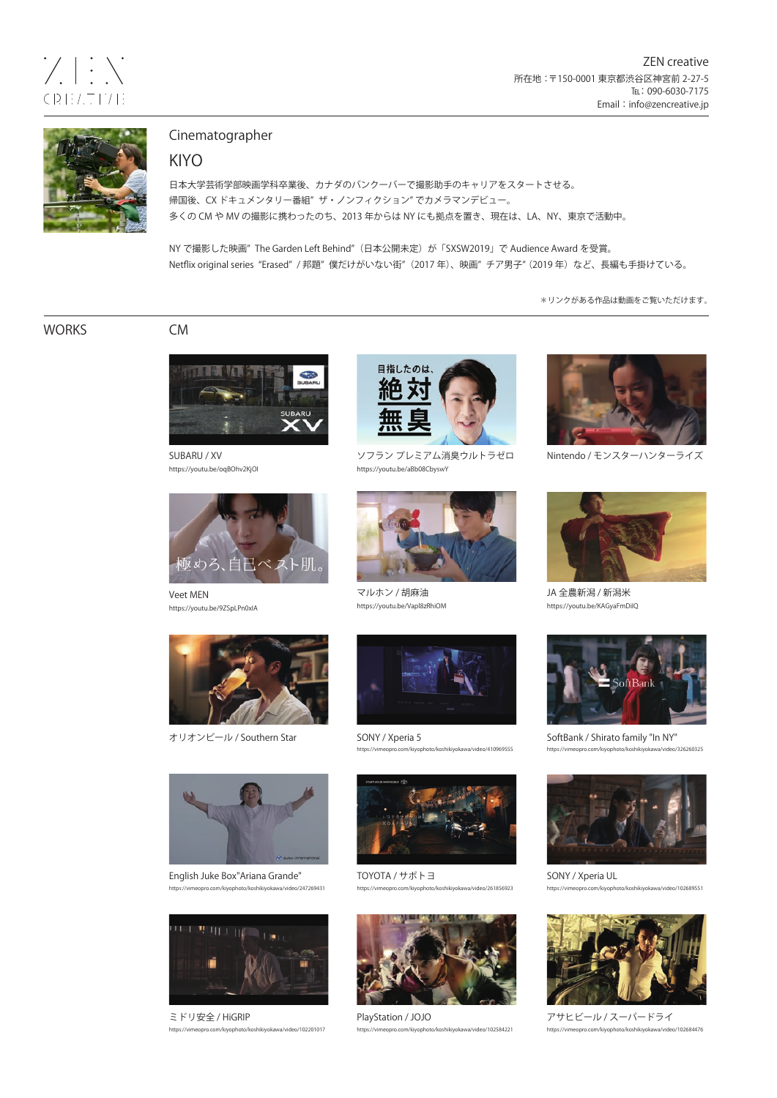

# Cinematographer

## KIYO

日本大学芸術学部映画学科卒業後、カナダのバンクーバーで撮影助手のキャリアをスタートさせる。 帰国後、CX ドキュメンタリー番組" ザ・ノンフィクション" でカメラマンデビュー。 多くの CM や MV の撮影に携わったのち、2013 年からは NY にも拠点を置き、現在は、LA、NY、東京で活動中。

NY で撮影した映画" The Garden Left Behind"(日本公開未定)が「SXSW2019」で Audience Award を受賞。 Netflix original series "Erased" / 邦題"僕だけがいない街"(2017 年)、映画"チア男子" (2019 年)など、長編も手掛けている。

\*リンクがある作品は動画をご覧いただけます。

WORKS CM



SUBARU / XV https://youtu.be/oqBOhv2KjOI



Veet MEN https://youtu.be/9ZSpLPn0xIA



オリオンビール / Southern Star



English Juke Box"Ariana Grande" om/kiyophoto/koshikiyokawa/video/247269431



ミドリ安全 / HiGRIP /koshikiyokawa/video/102201017



ソフラン プレミアム消臭ウルトラゼロ https://youtu.be/aBb08CbyswY



マルホン / 胡麻油 https://youtu.be/Vapl8zRhiOM



SONY / Xperia 5 to/koshikiyokawa/video/410969555



TOYOTA / サポトヨ https://vimeopro.com/kiyophoto/koshikiyokawa/video/261856923



PlayStation / JOJO shikiyokawa/video/102584221



Nintendo / モンスターハンターライズ



JA 全農新潟 / 新潟米 https://youtu.be/KAGyaFmDiIQ



SoftBank / Shirato family "In NY" https://vimeopro.com/kiyophoto/koshikiyokawa/video/326260325



SONY / Xperia UL https://vimeopro.com/kiyophoto/koshikiyokawa/video/102689551



アサヒビール / スーパードライ https://vimeopro.com/kiyophoto/koshikiyokawa/video/102684476